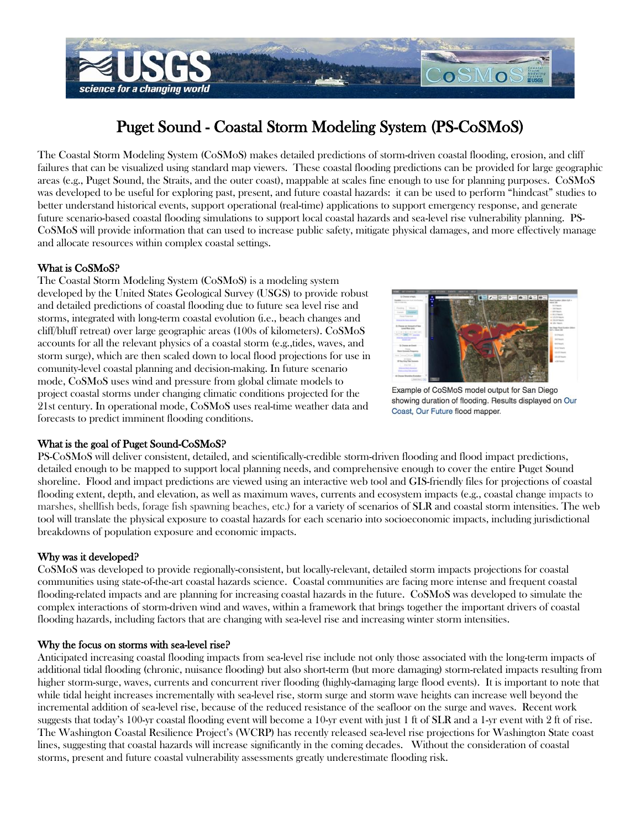

# Puget Sound - Coastal Storm Modeling System (PS-CoSMoS)

The Coastal Storm Modeling System (CoSMoS) makes detailed predictions of storm-driven coastal flooding, erosion, and cliff failures that can be visualized using standard map viewers. These coastal flooding predictions can be provided for large geographic areas (e.g., Puget Sound, the Straits, and the outer coast), mappable at scales fine enough to use for planning purposes. CoSMoS was developed to be useful for exploring past, present, and future coastal hazards: it can be used to perform "hindcast" studies to better understand historical events, support operational (real-time) applications to support emergency response, and generate future scenario-based coastal flooding simulations to support local coastal hazards and sea-level rise vulnerability planning. PS-CoSMoS will provide information that can used to increase public safety, mitigate physical damages, and more effectively manage and allocate resources within complex coastal settings.

# What is CoSMoS?

The Coastal Storm Modeling System (CoSMoS) is a modeling system developed by the United States Geological Survey (USGS) to provide robust and detailed predictions of coastal flooding due to future sea level rise and storms, integrated with long-term coastal evolution (i.e., beach changes and cliff/bluff retreat) over large geographic areas (100s of kilometers). CoSMoS accounts for all the relevant physics of a coastal storm (e.g.,tides, waves, and storm surge), which are then scaled down to local flood projections for use in comunity-level coastal planning and decision-making. In future scenario mode, CoSMoS uses wind and pressure from global climate models to project coastal storms under changing climatic conditions projected for the 21st century. In operational mode, CoSMoS uses real-time weather data and forecasts to predict imminent flooding conditions.



Example of CoSMoS model output for San Diego showing duration of flooding. Results displayed on Our Coast, Our Future flood mapper.

# What is the goal of Puget Sound-CoSMoS?

PS-CoSMoS will deliver consistent, detailed, and scientifically-credible storm-driven flooding and flood impact predictions, detailed enough to be mapped to support local planning needs, and comprehensive enough to cover the entire Puget Sound shoreline. Flood and impact predictions are viewed using an interactive web tool and GIS-friendly files for projections of coastal flooding extent, depth, and elevation, as well as maximum waves, currents and ecosystem impacts (e.g., coastal change impacts to marshes, shellfish beds, forage fish spawning beaches, etc.) for a variety of scenarios of SLR and coastal storm intensities. The web tool will translate the physical exposure to coastal hazards for each scenario into socioeconomic impacts, including jurisdictional breakdowns of population exposure and economic impacts.

# Why was it developed?

CoSMoS was developed to provide regionally-consistent, but locally-relevant, detailed storm impacts projections for coastal communities using state-of-the-art coastal hazards science. Coastal communities are facing more intense and frequent coastal flooding-related impacts and are planning for increasing coastal hazards in the future. CoSMoS was developed to simulate the complex interactions of storm-driven wind and waves, within a framework that brings together the important drivers of coastal flooding hazards, including factors that are changing with sea-level rise and increasing winter storm intensities.

#### Why the focus on storms with sea-level rise?

Anticipated increasing coastal flooding impacts from sea-level rise include not only those associated with the long-term impacts of additional tidal flooding (chronic, nuisance flooding) but also short-term (but more damaging) storm-related impacts resulting from higher storm-surge, waves, currents and concurrent river flooding (highly-damaging large flood events). It is important to note that while tidal height increases incrementally with sea-level rise, storm surge and storm wave heights can increase well beyond the incremental addition of sea-level rise, because of the reduced resistance of the seafloor on the surge and waves. Recent work suggests that today's 100-yr coastal flooding event will become a 10-yr event with just 1 ft of SLR and a 1-yr event with 2 ft of rise. The Washington Coastal Resilience Project's (WCRP) has recently released sea-level rise projections for Washington State coast lines, suggesting that coastal hazards will increase significantly in the coming decades. Without the consideration of coastal storms, present and future coastal vulnerability assessments greatly underestimate flooding risk.